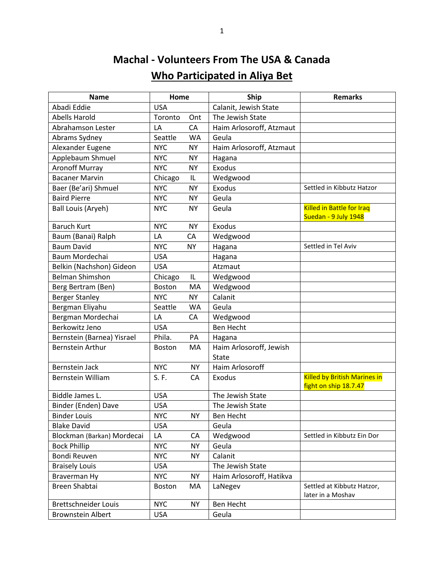## **Machal - Volunteers From The USA & Canada Who Participated in Aliya Bet**

| <b>Name</b>                 | Home          |           | <b>Ship</b>                             | <b>Remarks</b>                                               |
|-----------------------------|---------------|-----------|-----------------------------------------|--------------------------------------------------------------|
| Abadi Eddie                 | <b>USA</b>    |           | Calanit, Jewish State                   |                                                              |
| <b>Abells Harold</b>        | Toronto       | Ont       | The Jewish State                        |                                                              |
| Abrahamson Lester           | LA            | CA        | Haim Arlosoroff, Atzmaut                |                                                              |
| Abrams Sydney               | Seattle       | <b>WA</b> | Geula                                   |                                                              |
| Alexander Eugene            | <b>NYC</b>    | <b>NY</b> | Haim Arlosoroff, Atzmaut                |                                                              |
| Applebaum Shmuel            | <b>NYC</b>    | <b>NY</b> | Hagana                                  |                                                              |
| <b>Aronoff Murray</b>       | <b>NYC</b>    | NY.       | <b>Exodus</b>                           |                                                              |
| <b>Bacaner Marvin</b>       | Chicago       | IL        | Wedgwood                                |                                                              |
| Baer (Be'ari) Shmuel        | <b>NYC</b>    | <b>NY</b> | Exodus                                  | Settled in Kibbutz Hatzor                                    |
| <b>Baird Pierre</b>         | <b>NYC</b>    | <b>NY</b> | Geula                                   |                                                              |
| <b>Ball Louis (Aryeh)</b>   | <b>NYC</b>    | <b>NY</b> | Geula                                   | <b>Killed in Battle for Iraq</b><br>Suedan - 9 July 1948     |
| <b>Baruch Kurt</b>          | <b>NYC</b>    | <b>NY</b> | Exodus                                  |                                                              |
| Baum (Banai) Ralph          | LA            | CA        | Wedgwood                                |                                                              |
| <b>Baum David</b>           | <b>NYC</b>    | <b>NY</b> | Hagana                                  | Settled in Tel Aviv                                          |
| Baum Mordechai              | <b>USA</b>    |           | Hagana                                  |                                                              |
| Belkin (Nachshon) Gideon    | <b>USA</b>    |           | Atzmaut                                 |                                                              |
| <b>Belman Shimshon</b>      | Chicago       | IL        | Wedgwood                                |                                                              |
| Berg Bertram (Ben)          | Boston        | MA        | Wedgwood                                |                                                              |
| <b>Berger Stanley</b>       | <b>NYC</b>    | <b>NY</b> | Calanit                                 |                                                              |
| Bergman Eliyahu             | Seattle       | WA        | Geula                                   |                                                              |
| Bergman Mordechai           | LA            | CA        | Wedgwood                                |                                                              |
| Berkowitz Jeno              | <b>USA</b>    |           | <b>Ben Hecht</b>                        |                                                              |
| Bernstein (Barnea) Yisrael  | Phila.        | PA        | Hagana                                  |                                                              |
| <b>Bernstein Arthur</b>     | <b>Boston</b> | MA        | Haim Arlosoroff, Jewish<br><b>State</b> |                                                              |
| <b>Bernstein Jack</b>       | <b>NYC</b>    | <b>NY</b> | Haim Arlosoroff                         |                                                              |
| <b>Bernstein William</b>    | S.F.          | CA        | <b>Exodus</b>                           | <b>Killed by British Marines in</b><br>fight on ship 18.7.47 |
| Biddle James L.             | <b>USA</b>    |           | The Jewish State                        |                                                              |
| Binder (Enden) Dave         | <b>USA</b>    |           | The Jewish State                        |                                                              |
| <b>Binder Louis</b>         | <b>NYC</b>    | NΥ        | Ben Hecht                               |                                                              |
| <b>Blake David</b>          | <b>USA</b>    |           | Geula                                   |                                                              |
| Blockman (Barkan) Mordecai  | LA            | CA        | Wedgwood                                | Settled in Kibbutz Ein Dor                                   |
| <b>Bock Phillip</b>         | <b>NYC</b>    | <b>NY</b> | Geula                                   |                                                              |
| Bondi Reuven                | <b>NYC</b>    | <b>NY</b> | Calanit                                 |                                                              |
| <b>Braisely Louis</b>       | <b>USA</b>    |           | The Jewish State                        |                                                              |
| Braverman Hy                | <b>NYC</b>    | <b>NY</b> | Haim Arlosoroff, Hatikva                |                                                              |
| Breen Shabtai               | Boston        | MA        | LaNegev                                 | Settled at Kibbutz Hatzor,<br>later in a Moshav              |
| <b>Brettschneider Louis</b> | <b>NYC</b>    | <b>NY</b> | Ben Hecht                               |                                                              |
| <b>Brownstein Albert</b>    | USA           |           | Geula                                   |                                                              |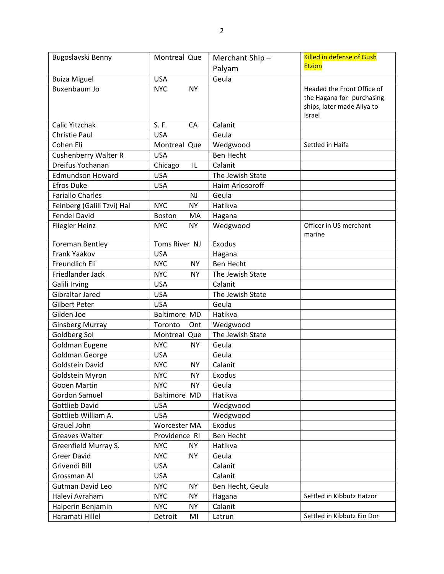| Bugoslavski Benny          | Montreal Que            | Merchant Ship-   | <b>Killed in defense of Gush</b>                                                                |
|----------------------------|-------------------------|------------------|-------------------------------------------------------------------------------------------------|
|                            |                         | Palyam           | <b>Etzion</b>                                                                                   |
| <b>Buiza Miguel</b>        | <b>USA</b>              | Geula            |                                                                                                 |
| Buxenbaum Jo               | <b>NYC</b><br><b>NY</b> |                  | Headed the Front Office of<br>the Hagana for purchasing<br>ships, later made Aliya to<br>Israel |
| Calic Yitzchak             | S. F.<br>CA             | Calanit          |                                                                                                 |
| <b>Christie Paul</b>       | <b>USA</b>              | Geula            |                                                                                                 |
| Cohen Eli                  | Montreal Que            | Wedgwood         | Settled in Haifa                                                                                |
| Cushenberry Walter R       | <b>USA</b>              | <b>Ben Hecht</b> |                                                                                                 |
| Dreifus Yochanan           | Chicago<br>IL           | Calanit          |                                                                                                 |
| <b>Edmundson Howard</b>    | <b>USA</b>              | The Jewish State |                                                                                                 |
| <b>Efros Duke</b>          | <b>USA</b>              | Haim Arlosoroff  |                                                                                                 |
| <b>Fariallo Charles</b>    | <b>NJ</b>               | Geula            |                                                                                                 |
| Feinberg (Galili Tzvi) Hal | <b>NYC</b><br><b>NY</b> | Hatikva          |                                                                                                 |
| <b>Fendel David</b>        | Boston<br>MA            | Hagana           |                                                                                                 |
| <b>Fliegler Heinz</b>      | <b>NYC</b><br><b>NY</b> | Wedgwood         | Officer in US merchant<br>marine                                                                |
| Foreman Bentley            | Toms River NJ           | Exodus           |                                                                                                 |
| Frank Yaakov               | <b>USA</b>              | Hagana           |                                                                                                 |
| Freundlich Eli             | <b>NYC</b><br><b>NY</b> | <b>Ben Hecht</b> |                                                                                                 |
| Friedlander Jack           | <b>NYC</b><br><b>NY</b> | The Jewish State |                                                                                                 |
| <b>Galili Irving</b>       | <b>USA</b>              | Calanit          |                                                                                                 |
| Gibraltar Jared            | <b>USA</b>              | The Jewish State |                                                                                                 |
| <b>Gilbert Peter</b>       | <b>USA</b>              | Geula            |                                                                                                 |
| Gilden Joe                 | <b>Baltimore MD</b>     | Hatikva          |                                                                                                 |
| <b>Ginsberg Murray</b>     | Toronto<br>Ont          | Wedgwood         |                                                                                                 |
| Goldberg Sol               | Montreal Que            | The Jewish State |                                                                                                 |
| Goldman Eugene             | <b>NYC</b><br><b>NY</b> | Geula            |                                                                                                 |
| Goldman George             | <b>USA</b>              | Geula            |                                                                                                 |
| <b>Goldstein David</b>     | <b>NYC</b><br><b>NY</b> | Calanit          |                                                                                                 |
| Goldstein Myron            | <b>NYC</b><br><b>NY</b> | Exodus           |                                                                                                 |
| <b>Gooen Martin</b>        | <b>NYC</b><br><b>NY</b> | Geula            |                                                                                                 |
| <b>Gordon Samuel</b>       | Baltimore MD            | Hatikva          |                                                                                                 |
| <b>Gottlieb David</b>      | <b>USA</b>              | Wedgwood         |                                                                                                 |
| Gottlieb William A.        | <b>USA</b>              | Wedgwood         |                                                                                                 |
| Grauel John                | Worcester MA            | Exodus           |                                                                                                 |
| Greaves Walter             | Providence RI           | Ben Hecht        |                                                                                                 |
| Greenfield Murray S.       | <b>NYC</b><br><b>NY</b> | Hatikva          |                                                                                                 |
| <b>Greer David</b>         | <b>NYC</b><br><b>NY</b> | Geula            |                                                                                                 |
| Grivendi Bill              | <b>USA</b>              | Calanit          |                                                                                                 |
| Grossman Al                | <b>USA</b>              | Calanit          |                                                                                                 |
| <b>Gutman David Leo</b>    | <b>NYC</b><br><b>NY</b> | Ben Hecht, Geula |                                                                                                 |
| Halevi Avraham             | <b>NYC</b><br><b>NY</b> | Hagana           | Settled in Kibbutz Hatzor                                                                       |
| Halperin Benjamin          | <b>NYC</b><br><b>NY</b> | Calanit          |                                                                                                 |
| Haramati Hillel            | Detroit<br>MI           | Latrun           | Settled in Kibbutz Ein Dor                                                                      |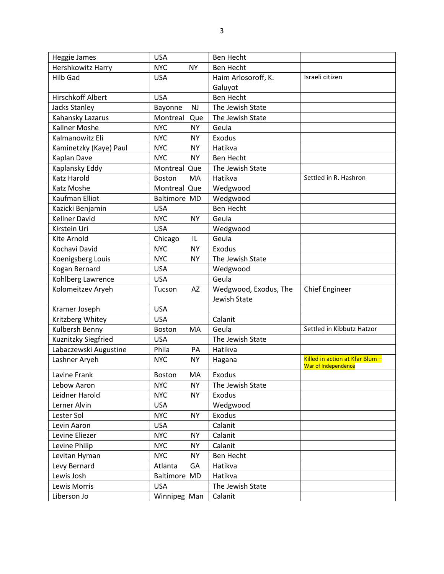| Heggie James           | <b>USA</b>              | Ben Hecht             |                                                        |
|------------------------|-------------------------|-----------------------|--------------------------------------------------------|
| Hershkowitz Harry      | <b>NYC</b><br><b>NY</b> | <b>Ben Hecht</b>      |                                                        |
| <b>Hilb Gad</b>        | <b>USA</b>              | Haim Arlosoroff, K.   | Israeli citizen                                        |
|                        |                         | Galuyot               |                                                        |
| Hirschkoff Albert      | <b>USA</b>              | <b>Ben Hecht</b>      |                                                        |
| <b>Jacks Stanley</b>   | NJ<br>Bayonne           | The Jewish State      |                                                        |
| Kahansky Lazarus       | Montreal<br>Que         | The Jewish State      |                                                        |
| Kallner Moshe          | <b>NYC</b><br><b>NY</b> | Geula                 |                                                        |
| Kalmanowitz Eli        | <b>NYC</b><br><b>NY</b> | <b>Exodus</b>         |                                                        |
| Kaminetzky (Kaye) Paul | <b>NYC</b><br><b>NY</b> | Hatikva               |                                                        |
| Kaplan Dave            | <b>NYC</b><br><b>NY</b> | <b>Ben Hecht</b>      |                                                        |
| Kaplansky Eddy         | Montreal Que            | The Jewish State      |                                                        |
| <b>Katz Harold</b>     | <b>Boston</b><br>MA     | Hatikva               | Settled in R. Hashron                                  |
| Katz Moshe             | Montreal Que            | Wedgwood              |                                                        |
| Kaufman Elliot         | Baltimore MD            | Wedgwood              |                                                        |
| Kazicki Benjamin       | <b>USA</b>              | <b>Ben Hecht</b>      |                                                        |
| <b>Kellner David</b>   | <b>NYC</b><br><b>NY</b> | Geula                 |                                                        |
| Kirstein Uri           | <b>USA</b>              | Wedgwood              |                                                        |
| <b>Kite Arnold</b>     | Chicago<br>IL           | Geula                 |                                                        |
| Kochavi David          | <b>NYC</b><br><b>NY</b> | Exodus                |                                                        |
| Koenigsberg Louis      | <b>NYC</b><br><b>NY</b> | The Jewish State      |                                                        |
| Kogan Bernard          | <b>USA</b>              | Wedgwood              |                                                        |
| Kohlberg Lawrence      | <b>USA</b>              | Geula                 |                                                        |
| Kolomeitzev Aryeh      | AZ<br>Tucson            | Wedgwood, Exodus, The | <b>Chief Engineer</b>                                  |
|                        |                         | Jewish State          |                                                        |
| Kramer Joseph          | <b>USA</b>              |                       |                                                        |
| Kritzberg Whitey       | <b>USA</b>              | Calanit               |                                                        |
| Kulbersh Benny         | MA<br><b>Boston</b>     | Geula                 | Settled in Kibbutz Hatzor                              |
| Kuznitzky Siegfried    | <b>USA</b>              | The Jewish State      |                                                        |
| Labaczewski Augustine  | Phila<br>PA             | Hatikva               |                                                        |
| Lashner Aryeh          | <b>NYC</b><br><b>NY</b> | Hagana                | Killed in action at Kfar Blum -<br>War of Independence |
| Lavine Frank           | MA<br><b>Boston</b>     | Exodus                |                                                        |
| Lebow Aaron            | <b>NYC</b><br><b>NY</b> | The Jewish State      |                                                        |
| Leidner Harold         | <b>NYC</b><br><b>NY</b> | Exodus                |                                                        |
| Lerner Alvin           | <b>USA</b>              | Wedgwood              |                                                        |
| Lester Sol             | <b>NYC</b><br><b>NY</b> | Exodus                |                                                        |
| Levin Aaron            | <b>USA</b>              | Calanit               |                                                        |
| Levine Eliezer         | <b>NYC</b><br><b>NY</b> | Calanit               |                                                        |
| Levine Philip          | <b>NYC</b><br>NΥ        | Calanit               |                                                        |
| Levitan Hyman          | <b>NYC</b><br><b>NY</b> | Ben Hecht             |                                                        |
| Levy Bernard           | Atlanta<br>GA           | Hatikva               |                                                        |
| Lewis Josh             | Baltimore MD            | Hatikva               |                                                        |
| Lewis Morris           | <b>USA</b>              | The Jewish State      |                                                        |
| Liberson Jo            | Winnipeg Man            | Calanit               |                                                        |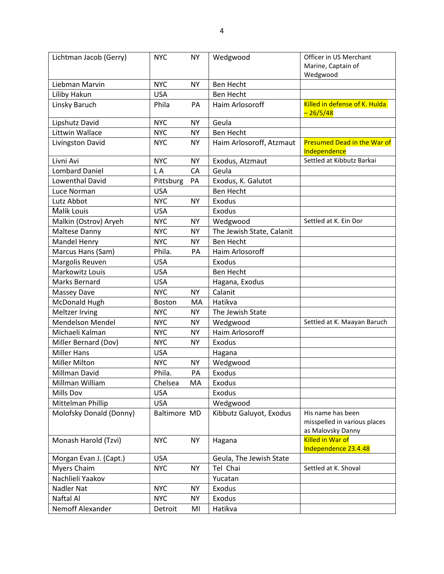| Lichtman Jacob (Gerry)  | <b>NYC</b>    | <b>NY</b> | Wedgwood                  | Officer in US Merchant                                                 |
|-------------------------|---------------|-----------|---------------------------|------------------------------------------------------------------------|
|                         |               |           |                           | Marine, Captain of                                                     |
|                         |               |           |                           | Wedgwood                                                               |
| Liebman Marvin          | <b>NYC</b>    | <b>NY</b> | Ben Hecht                 |                                                                        |
| Liliby Hakun            | <b>USA</b>    |           | <b>Ben Hecht</b>          |                                                                        |
| Linsky Baruch           | Phila         | PA        | Haim Arlosoroff           | Killed in defense of K. Hulda<br>$-26/5/48$                            |
| Lipshutz David          | <b>NYC</b>    | <b>NY</b> | Geula                     |                                                                        |
| Littwin Wallace         | <b>NYC</b>    | <b>NY</b> | <b>Ben Hecht</b>          |                                                                        |
| Livingston David        | <b>NYC</b>    | <b>NY</b> | Haim Arlosoroff, Atzmaut  | Presumed Dead in the War of<br>Independence                            |
| Livni Avi               | <b>NYC</b>    | <b>NY</b> | Exodus, Atzmaut           | Settled at Kibbutz Barkai                                              |
| <b>Lombard Daniel</b>   | L A           | CA        | Geula                     |                                                                        |
| Lowenthal David         | Pittsburg     | PA        | Exodus, K. Galutot        |                                                                        |
| Luce Norman             | <b>USA</b>    |           | Ben Hecht                 |                                                                        |
| Lutz Abbot              | <b>NYC</b>    | <b>NY</b> | <b>Exodus</b>             |                                                                        |
| <b>Malik Louis</b>      | <b>USA</b>    |           | <b>Exodus</b>             |                                                                        |
| Malkin (Ostrov) Aryeh   | <b>NYC</b>    | <b>NY</b> | Wedgwood                  | Settled at K. Ein Dor                                                  |
| Maltese Danny           | <b>NYC</b>    | <b>NY</b> | The Jewish State, Calanit |                                                                        |
| Mandel Henry            | <b>NYC</b>    | <b>NY</b> | <b>Ben Hecht</b>          |                                                                        |
| Marcus Hans (Sam)       | Phila.        | PA        | Haim Arlosoroff           |                                                                        |
| Margolis Reuven         | <b>USA</b>    |           | Exodus                    |                                                                        |
| Markowitz Louis         | <b>USA</b>    |           | <b>Ben Hecht</b>          |                                                                        |
| Marks Bernard           | <b>USA</b>    |           | Hagana, Exodus            |                                                                        |
| <b>Massey Dave</b>      | <b>NYC</b>    | <b>NY</b> | Calanit                   |                                                                        |
| McDonald Hugh           | <b>Boston</b> | MA        | Hatikva                   |                                                                        |
| Meltzer Irving          | <b>NYC</b>    | <b>NY</b> | The Jewish State          |                                                                        |
| <b>Mendelson Mendel</b> | <b>NYC</b>    | <b>NY</b> | Wedgwood                  | Settled at K. Maayan Baruch                                            |
| Michaeli Kalman         | <b>NYC</b>    | <b>NY</b> | Haim Arlosoroff           |                                                                        |
| Miller Bernard (Dov)    | <b>NYC</b>    | <b>NY</b> | Exodus                    |                                                                        |
| <b>Miller Hans</b>      | <b>USA</b>    |           | Hagana                    |                                                                        |
| <b>Miller Milton</b>    | <b>NYC</b>    | <b>NY</b> | Wedgwood                  |                                                                        |
| Millman David           | Phila.        | PA        | <b>Exodus</b>             |                                                                        |
| Millman William         | Chelsea       | MA        | Exodus                    |                                                                        |
| <b>Mills Dov</b>        | <b>USA</b>    |           | <b>Exodus</b>             |                                                                        |
| Mittelman Phillip       | <b>USA</b>    |           | Wedgwood                  |                                                                        |
| Molofsky Donald (Donny) | Baltimore MD  |           | Kibbutz Galuyot, Exodus   | His name has been<br>misspelled in various places<br>as Malovsky Danny |
| Monash Harold (Tzvi)    | <b>NYC</b>    | <b>NY</b> | Hagana                    | <b>Killed in War of</b><br>Independence 23.4.48                        |
| Morgan Evan J. (Capt.)  | <b>USA</b>    |           | Geula, The Jewish State   |                                                                        |
| Myers Chaim             | <b>NYC</b>    | <b>NY</b> | Tel Chai                  | Settled at K. Shoval                                                   |
| Nachlieli Yaakov        |               |           | Yucatan                   |                                                                        |
| Nadler Nat              | <b>NYC</b>    | <b>NY</b> | Exodus                    |                                                                        |
| Naftal Al               | <b>NYC</b>    | <b>NY</b> | Exodus                    |                                                                        |
| Nemoff Alexander        | Detroit       | MI        | Hatikva                   |                                                                        |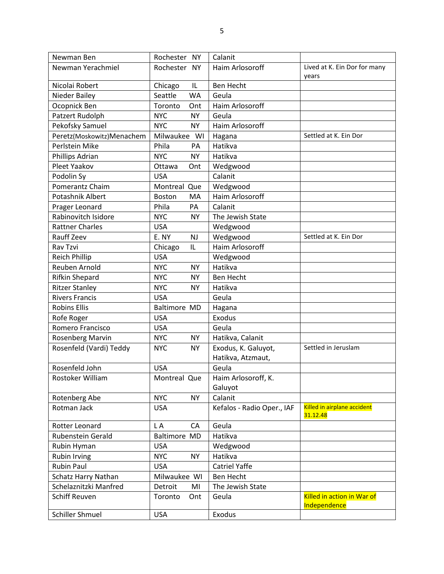| Newman Ben                 | Rochester NY            | Calanit                    |                                            |
|----------------------------|-------------------------|----------------------------|--------------------------------------------|
| Newman Yerachmiel          | Rochester NY            | Haim Arlosoroff            | Lived at K. Ein Dor for many<br>years      |
| Nicolai Robert             | Chicago<br>IL           | <b>Ben Hecht</b>           |                                            |
| Nieder Bailey              | Seattle<br><b>WA</b>    | Geula                      |                                            |
| Ocopnick Ben               | Toronto<br>Ont          | Haim Arlosoroff            |                                            |
| Patzert Rudolph            | <b>NYC</b><br><b>NY</b> | Geula                      |                                            |
| Pekofsky Samuel            | <b>NYC</b><br><b>NY</b> | Haim Arlosoroff            |                                            |
| Peretz(Moskowitz)Menachem  | Milwaukee WI            | Hagana                     | Settled at K. Ein Dor                      |
| Perlstein Mike             | Phila<br>PA             | Hatikva                    |                                            |
| Phillips Adrian            | <b>NYC</b><br><b>NY</b> | Hatikva                    |                                            |
| Pleet Yaakov               | Ottawa<br>Ont           | Wedgwood                   |                                            |
| Podolin Sy                 | <b>USA</b>              | Calanit                    |                                            |
| Pomerantz Chaim            | Montreal Que            | Wedgwood                   |                                            |
| Potashnik Albert           | <b>Boston</b><br>MA     | Haim Arlosoroff            |                                            |
| Prager Leonard             | Phila<br>PA             | Calanit                    |                                            |
| Rabinovitch Isidore        | <b>NYC</b><br><b>NY</b> | The Jewish State           |                                            |
| <b>Rattner Charles</b>     | <b>USA</b>              | Wedgwood                   |                                            |
| Rauff Zeev                 | E. NY<br><b>NJ</b>      | Wedgwood                   | Settled at K. Ein Dor                      |
| Rav Tzvi                   | Chicago<br>IL           | Haim Arlosoroff            |                                            |
| <b>Reich Phillip</b>       | <b>USA</b>              | Wedgwood                   |                                            |
| Reuben Arnold              | <b>NYC</b><br><b>NY</b> | Hatikva                    |                                            |
| <b>Rifkin Shepard</b>      | <b>NYC</b><br><b>NY</b> | <b>Ben Hecht</b>           |                                            |
| <b>Ritzer Stanley</b>      | <b>NYC</b><br><b>NY</b> | Hatikva                    |                                            |
| <b>Rivers Francis</b>      | <b>USA</b>              | Geula                      |                                            |
| <b>Robins Ellis</b>        | <b>Baltimore MD</b>     | Hagana                     |                                            |
| Rofe Roger                 | <b>USA</b>              | Exodus                     |                                            |
| Romero Francisco           | <b>USA</b>              | Geula                      |                                            |
| Rosenberg Marvin           | <b>NYC</b><br><b>NY</b> | Hatikva, Calanit           |                                            |
| Rosenfeld (Vardi) Teddy    | <b>NYC</b><br><b>NY</b> | Exodus, K. Galuyot,        | Settled in Jeruslam                        |
|                            |                         | Hatikva, Atzmaut,          |                                            |
| Rosenfeld John             | <b>USA</b>              | Geula                      |                                            |
| Rostoker William           | Montreal Que            | Haim Arlosoroff, K.        |                                            |
|                            |                         | Galuyot                    |                                            |
| Rotenberg Abe              | <b>NYC</b><br><b>NY</b> | Calanit                    |                                            |
| Rotman Jack                | <b>USA</b>              | Kefalos - Radio Oper., IAF | Killed in airplane accident<br>31.12.48    |
| Rotter Leonard             | L A<br>CA               | Geula                      |                                            |
| Rubenstein Gerald          | <b>Baltimore MD</b>     | Hatikva                    |                                            |
| Rubin Hyman                | <b>USA</b>              | Wedgwood                   |                                            |
| Rubin Irving               | <b>NYC</b><br><b>NY</b> | Hatikva                    |                                            |
| <b>Rubin Paul</b>          | <b>USA</b>              | <b>Catriel Yaffe</b>       |                                            |
| <b>Schatz Harry Nathan</b> | Milwaukee WI            | Ben Hecht                  |                                            |
| Schelaznitzki Manfred      | Detroit<br>MI           | The Jewish State           |                                            |
| <b>Schiff Reuven</b>       | Toronto<br>Ont          | Geula                      | Killed in action in War of<br>Independence |
| Schiller Shmuel            | <b>USA</b>              | Exodus                     |                                            |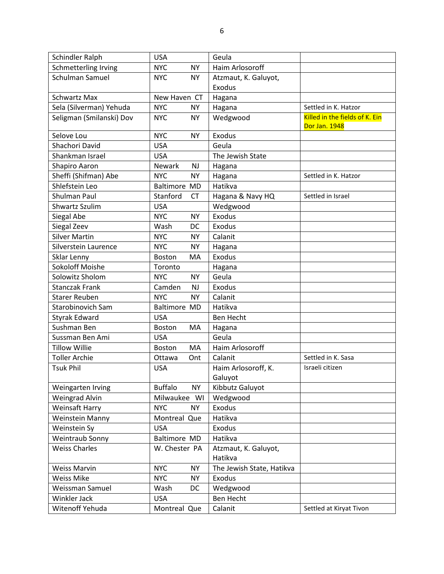| Schindler Ralph          | <b>USA</b>                  | Geula                     |                                                 |
|--------------------------|-----------------------------|---------------------------|-------------------------------------------------|
| Schmetterling Irving     | <b>NYC</b><br><b>NY</b>     | Haim Arlosoroff           |                                                 |
| Schulman Samuel          | <b>NYC</b><br><b>NY</b>     | Atzmaut, K. Galuyot,      |                                                 |
|                          |                             | Exodus                    |                                                 |
| <b>Schwartz Max</b>      | New Haven CT                | Hagana                    |                                                 |
| Sela (Silverman) Yehuda  | <b>NYC</b><br><b>NY</b>     | Hagana                    | Settled in K. Hatzor                            |
| Seligman (Smilanski) Dov | <b>NYC</b><br><b>NY</b>     | Wedgwood                  | Killed in the fields of K. Ein<br>Dor Jan. 1948 |
| Selove Lou               | <b>NYC</b><br><b>NY</b>     | Exodus                    |                                                 |
| Shachori David           | <b>USA</b>                  | Geula                     |                                                 |
| Shankman Israel          | <b>USA</b>                  | The Jewish State          |                                                 |
| Shapiro Aaron            | Newark<br><b>NJ</b>         | Hagana                    |                                                 |
| Sheffi (Shifman) Abe     | <b>NYC</b><br><b>NY</b>     | Hagana                    | Settled in K. Hatzor                            |
| Shlefstein Leo           | <b>Baltimore MD</b>         | Hatikva                   |                                                 |
| Shulman Paul             | Stanford<br><b>CT</b>       | Hagana & Navy HQ          | Settled in Israel                               |
| <b>Shwartz Szulim</b>    | <b>USA</b>                  | Wedgwood                  |                                                 |
| Siegal Abe               | <b>NYC</b><br><b>NY</b>     | Exodus                    |                                                 |
| Siegal Zeev              | Wash<br>DC                  | Exodus                    |                                                 |
| <b>Silver Martin</b>     | <b>NYC</b><br><b>NY</b>     | Calanit                   |                                                 |
| Silverstein Laurence     | <b>NYC</b><br><b>NY</b>     | Hagana                    |                                                 |
| Sklar Lenny              | Boston<br>MA                | Exodus                    |                                                 |
| <b>Sokoloff Moishe</b>   | Toronto                     | Hagana                    |                                                 |
| Solowitz Sholom          | <b>NYC</b><br><b>NY</b>     | Geula                     |                                                 |
| <b>Stanczak Frank</b>    | Camden<br><b>NJ</b>         | Exodus                    |                                                 |
| <b>Starer Reuben</b>     | <b>NYC</b><br><b>NY</b>     | Calanit                   |                                                 |
| Starobinovich Sam        | <b>Baltimore MD</b>         | Hatikva                   |                                                 |
| <b>Styrak Edward</b>     | <b>USA</b>                  | Ben Hecht                 |                                                 |
| Sushman Ben              | Boston<br>MA                | Hagana                    |                                                 |
| Sussman Ben Ami          | <b>USA</b>                  | Geula                     |                                                 |
| <b>Tillow Willie</b>     | MA<br>Boston                | Haim Arlosoroff           |                                                 |
| <b>Toller Archie</b>     | Ottawa<br>Ont               | Calanit                   | Settled in K. Sasa                              |
| <b>Tsuk Phil</b>         | <b>USA</b>                  | Haim Arlosoroff, K.       | Israeli citizen                                 |
|                          |                             | Galuyot                   |                                                 |
| Weingarten Irving        | <b>Buffalo</b><br><b>NY</b> | Kibbutz Galuyot           |                                                 |
| Weingrad Alvin           | Milwaukee WI                | Wedgwood                  |                                                 |
| Weinsaft Harry           | <b>NYC</b><br><b>NY</b>     | Exodus                    |                                                 |
| <b>Weinstein Manny</b>   | Montreal Que                | Hatikva                   |                                                 |
| Weinstein Sy             | <b>USA</b>                  | <b>Exodus</b>             |                                                 |
| Weintraub Sonny          | Baltimore MD                | Hatikva                   |                                                 |
| <b>Weiss Charles</b>     | W. Chester PA               | Atzmaut, K. Galuyot,      |                                                 |
|                          |                             | Hatikva                   |                                                 |
| <b>Weiss Marvin</b>      | <b>NYC</b><br><b>NY</b>     | The Jewish State, Hatikva |                                                 |
| <b>Weiss Mike</b>        | <b>NYC</b><br><b>NY</b>     | Exodus                    |                                                 |
| Weissman Samuel          | Wash<br>DC                  | Wedgwood                  |                                                 |
| Winkler Jack             | <b>USA</b>                  | Ben Hecht                 |                                                 |
| Witenoff Yehuda          | Montreal Que                | Calanit                   | Settled at Kiryat Tivon                         |